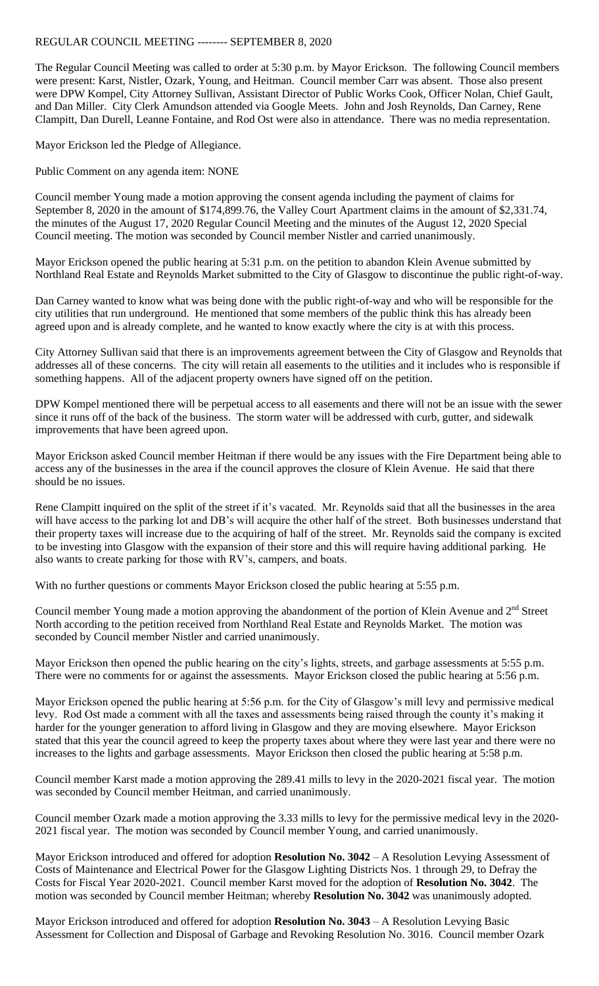## REGULAR COUNCIL MEETING -------- SEPTEMBER 8, 2020

The Regular Council Meeting was called to order at 5:30 p.m. by Mayor Erickson. The following Council members were present: Karst, Nistler, Ozark, Young, and Heitman. Council member Carr was absent. Those also present were DPW Kompel, City Attorney Sullivan, Assistant Director of Public Works Cook, Officer Nolan, Chief Gault, and Dan Miller. City Clerk Amundson attended via Google Meets. John and Josh Reynolds, Dan Carney, Rene Clampitt, Dan Durell, Leanne Fontaine, and Rod Ost were also in attendance. There was no media representation.

Mayor Erickson led the Pledge of Allegiance.

Public Comment on any agenda item: NONE

Council member Young made a motion approving the consent agenda including the payment of claims for September 8, 2020 in the amount of \$174,899.76, the Valley Court Apartment claims in the amount of \$2,331.74, the minutes of the August 17, 2020 Regular Council Meeting and the minutes of the August 12, 2020 Special Council meeting. The motion was seconded by Council member Nistler and carried unanimously.

Mayor Erickson opened the public hearing at 5:31 p.m. on the petition to abandon Klein Avenue submitted by Northland Real Estate and Reynolds Market submitted to the City of Glasgow to discontinue the public right-of-way.

Dan Carney wanted to know what was being done with the public right-of-way and who will be responsible for the city utilities that run underground. He mentioned that some members of the public think this has already been agreed upon and is already complete, and he wanted to know exactly where the city is at with this process.

City Attorney Sullivan said that there is an improvements agreement between the City of Glasgow and Reynolds that addresses all of these concerns. The city will retain all easements to the utilities and it includes who is responsible if something happens. All of the adjacent property owners have signed off on the petition.

DPW Kompel mentioned there will be perpetual access to all easements and there will not be an issue with the sewer since it runs off of the back of the business. The storm water will be addressed with curb, gutter, and sidewalk improvements that have been agreed upon.

Mayor Erickson asked Council member Heitman if there would be any issues with the Fire Department being able to access any of the businesses in the area if the council approves the closure of Klein Avenue. He said that there should be no issues.

Rene Clampitt inquired on the split of the street if it's vacated. Mr. Reynolds said that all the businesses in the area will have access to the parking lot and DB's will acquire the other half of the street. Both businesses understand that their property taxes will increase due to the acquiring of half of the street. Mr. Reynolds said the company is excited to be investing into Glasgow with the expansion of their store and this will require having additional parking. He also wants to create parking for those with RV's, campers, and boats.

With no further questions or comments Mayor Erickson closed the public hearing at 5:55 p.m.

Council member Young made a motion approving the abandonment of the portion of Klein Avenue and 2<sup>nd</sup> Street North according to the petition received from Northland Real Estate and Reynolds Market. The motion was seconded by Council member Nistler and carried unanimously.

Mayor Erickson then opened the public hearing on the city's lights, streets, and garbage assessments at 5:55 p.m. There were no comments for or against the assessments. Mayor Erickson closed the public hearing at 5:56 p.m.

Mayor Erickson opened the public hearing at 5:56 p.m. for the City of Glasgow's mill levy and permissive medical levy. Rod Ost made a comment with all the taxes and assessments being raised through the county it's making it harder for the younger generation to afford living in Glasgow and they are moving elsewhere. Mayor Erickson stated that this year the council agreed to keep the property taxes about where they were last year and there were no increases to the lights and garbage assessments. Mayor Erickson then closed the public hearing at 5:58 p.m.

Council member Karst made a motion approving the 289.41 mills to levy in the 2020-2021 fiscal year. The motion was seconded by Council member Heitman, and carried unanimously.

Council member Ozark made a motion approving the 3.33 mills to levy for the permissive medical levy in the 2020- 2021 fiscal year. The motion was seconded by Council member Young, and carried unanimously.

Mayor Erickson introduced and offered for adoption **Resolution No. 3042** – A Resolution Levying Assessment of Costs of Maintenance and Electrical Power for the Glasgow Lighting Districts Nos. 1 through 29, to Defray the Costs for Fiscal Year 2020-2021. Council member Karst moved for the adoption of **Resolution No. 3042**. The motion was seconded by Council member Heitman; whereby **Resolution No. 3042** was unanimously adopted.

Mayor Erickson introduced and offered for adoption **Resolution No. 3043** – A Resolution Levying Basic Assessment for Collection and Disposal of Garbage and Revoking Resolution No. 3016. Council member Ozark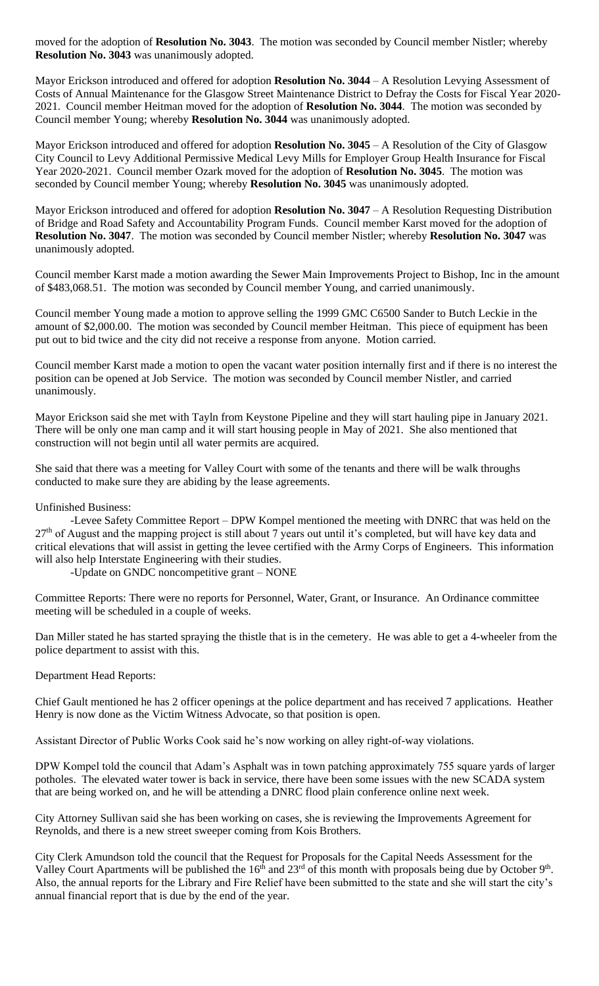moved for the adoption of **Resolution No. 3043**. The motion was seconded by Council member Nistler; whereby **Resolution No. 3043** was unanimously adopted.

Mayor Erickson introduced and offered for adoption **Resolution No. 3044** – A Resolution Levying Assessment of Costs of Annual Maintenance for the Glasgow Street Maintenance District to Defray the Costs for Fiscal Year 2020- 2021. Council member Heitman moved for the adoption of **Resolution No. 3044**. The motion was seconded by Council member Young; whereby **Resolution No. 3044** was unanimously adopted.

Mayor Erickson introduced and offered for adoption **Resolution No. 3045** – A Resolution of the City of Glasgow City Council to Levy Additional Permissive Medical Levy Mills for Employer Group Health Insurance for Fiscal Year 2020-2021. Council member Ozark moved for the adoption of **Resolution No. 3045**. The motion was seconded by Council member Young; whereby **Resolution No. 3045** was unanimously adopted.

Mayor Erickson introduced and offered for adoption **Resolution No. 3047** – A Resolution Requesting Distribution of Bridge and Road Safety and Accountability Program Funds. Council member Karst moved for the adoption of **Resolution No. 3047**. The motion was seconded by Council member Nistler; whereby **Resolution No. 3047** was unanimously adopted.

Council member Karst made a motion awarding the Sewer Main Improvements Project to Bishop, Inc in the amount of \$483,068.51. The motion was seconded by Council member Young, and carried unanimously.

Council member Young made a motion to approve selling the 1999 GMC C6500 Sander to Butch Leckie in the amount of \$2,000.00. The motion was seconded by Council member Heitman. This piece of equipment has been put out to bid twice and the city did not receive a response from anyone. Motion carried.

Council member Karst made a motion to open the vacant water position internally first and if there is no interest the position can be opened at Job Service. The motion was seconded by Council member Nistler, and carried unanimously.

Mayor Erickson said she met with Tayln from Keystone Pipeline and they will start hauling pipe in January 2021. There will be only one man camp and it will start housing people in May of 2021. She also mentioned that construction will not begin until all water permits are acquired.

She said that there was a meeting for Valley Court with some of the tenants and there will be walk throughs conducted to make sure they are abiding by the lease agreements.

Unfinished Business:

-Levee Safety Committee Report – DPW Kompel mentioned the meeting with DNRC that was held on the 27<sup>th</sup> of August and the mapping project is still about 7 years out until it's completed, but will have key data and critical elevations that will assist in getting the levee certified with the Army Corps of Engineers. This information will also help Interstate Engineering with their studies.

-Update on GNDC noncompetitive grant – NONE

Committee Reports: There were no reports for Personnel, Water, Grant, or Insurance. An Ordinance committee meeting will be scheduled in a couple of weeks.

Dan Miller stated he has started spraying the thistle that is in the cemetery. He was able to get a 4-wheeler from the police department to assist with this.

Department Head Reports:

Chief Gault mentioned he has 2 officer openings at the police department and has received 7 applications. Heather Henry is now done as the Victim Witness Advocate, so that position is open.

Assistant Director of Public Works Cook said he's now working on alley right-of-way violations.

DPW Kompel told the council that Adam's Asphalt was in town patching approximately 755 square yards of larger potholes. The elevated water tower is back in service, there have been some issues with the new SCADA system that are being worked on, and he will be attending a DNRC flood plain conference online next week.

City Attorney Sullivan said she has been working on cases, she is reviewing the Improvements Agreement for Reynolds, and there is a new street sweeper coming from Kois Brothers.

City Clerk Amundson told the council that the Request for Proposals for the Capital Needs Assessment for the Valley Court Apartments will be published the  $16<sup>th</sup>$  and  $23<sup>rd</sup>$  of this month with proposals being due by October  $9<sup>th</sup>$ . Also, the annual reports for the Library and Fire Relief have been submitted to the state and she will start the city's annual financial report that is due by the end of the year.